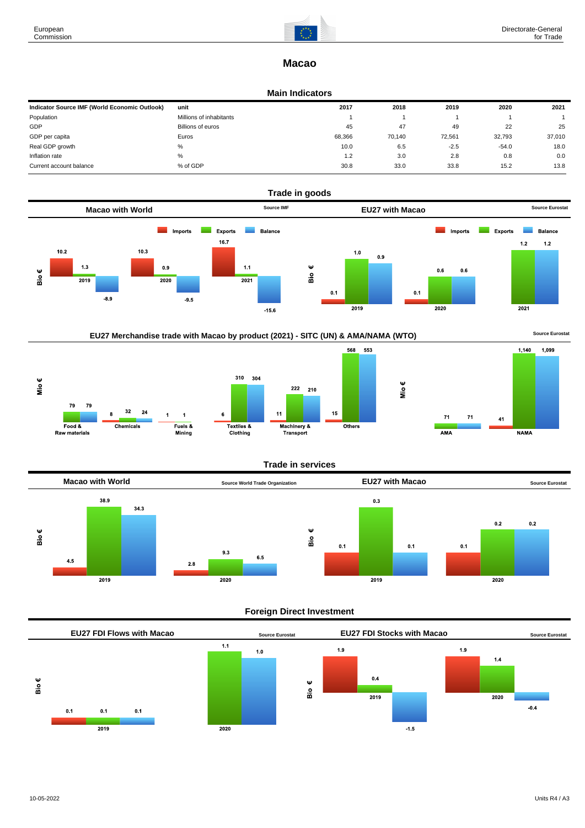

## **Macao**

### **Main Indicators**

| Indicator Source IMF (World Economic Outlook) | unit                    | 2017   | 2018   | 2019   | 2020    | 2021   |
|-----------------------------------------------|-------------------------|--------|--------|--------|---------|--------|
| Population                                    | Millions of inhabitants |        |        |        |         |        |
| GDP                                           | Billions of euros       | 45     | 47     | 49     | 22      | 25     |
| GDP per capita                                | Euros                   | 68,366 | 70.140 | 72,561 | 32.793  | 37,010 |
| Real GDP growth                               | %                       | 10.0   | 6.5    | $-2.5$ | $-54.0$ | 18.0   |
| Inflation rate                                | $\%$                    | 1.2    | 3.0    | 2.8    | 0.8     | 0.0    |
| Current account balance                       | % of GDP                | 30.8   | 33.0   | 33.8   | 15.2    | 13.8   |





## **Trade in services**



## **Foreign Direct Investment**